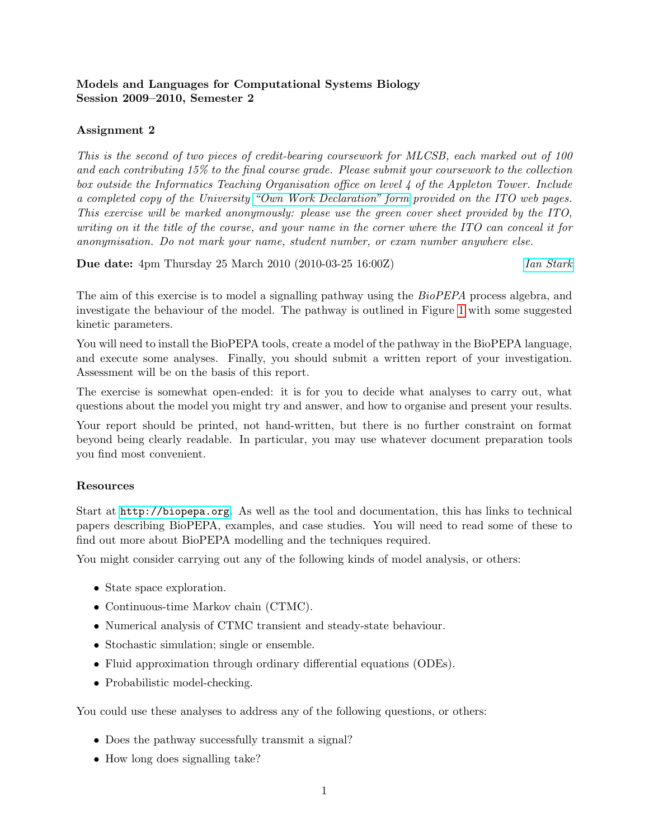# Models and Languages for Computational Systems Biology Session 2009–2010, Semester 2

# Assignment 2

This is the second of two pieces of credit-bearing coursework for MLCSB, each marked out of 100 and each contributing 15% to the final course grade. Please submit your coursework to the collection box outside the Informatics Teaching Organisation office on level 4 of the Appleton Tower. Include a completed copy of the University ["Own Work Declaration" form](http://www.inf.ed.ac.uk/teaching/own_work_declaration.pdf) provided on the ITO web pages. This exercise will be marked anonymously: please use the green cover sheet provided by the ITO, writing on it the title of the course, and your name in the corner where the ITO can conceal it for anonymisation. Do not mark your name, student number, or exam number anywhere else.

**Due date:** 4pm Thursday 25 March 2010 (2010-03-25 16:00Z) *[Ian Stark](http://homepages.ed.ac.uk/stark)* 

The aim of this exercise is to model a signalling pathway using the BioPEPA process algebra, and investigate the behaviour of the model. The pathway is outlined in Figure [1](#page-2-0) with some suggested kinetic parameters.

You will need to install the BioPEPA tools, create a model of the pathway in the BioPEPA language, and execute some analyses. Finally, you should submit a written report of your investigation. Assessment will be on the basis of this report.

The exercise is somewhat open-ended: it is for you to decide what analyses to carry out, what questions about the model you might try and answer, and how to organise and present your results.

Your report should be printed, not hand-written, but there is no further constraint on format beyond being clearly readable. In particular, you may use whatever document preparation tools you find most convenient.

### Resources

Start at <http://biopepa.org>. As well as the tool and documentation, this has links to technical papers describing BioPEPA, examples, and case studies. You will need to read some of these to find out more about BioPEPA modelling and the techniques required.

You might consider carrying out any of the following kinds of model analysis, or others:

- State space exploration.
- Continuous-time Markov chain (CTMC).
- Numerical analysis of CTMC transient and steady-state behaviour.
- Stochastic simulation; single or ensemble.
- Fluid approximation through ordinary differential equations (ODEs).
- Probabilistic model-checking.

You could use these analyses to address any of the following questions, or others:

- Does the pathway successfully transmit a signal?
- How long does signalling take?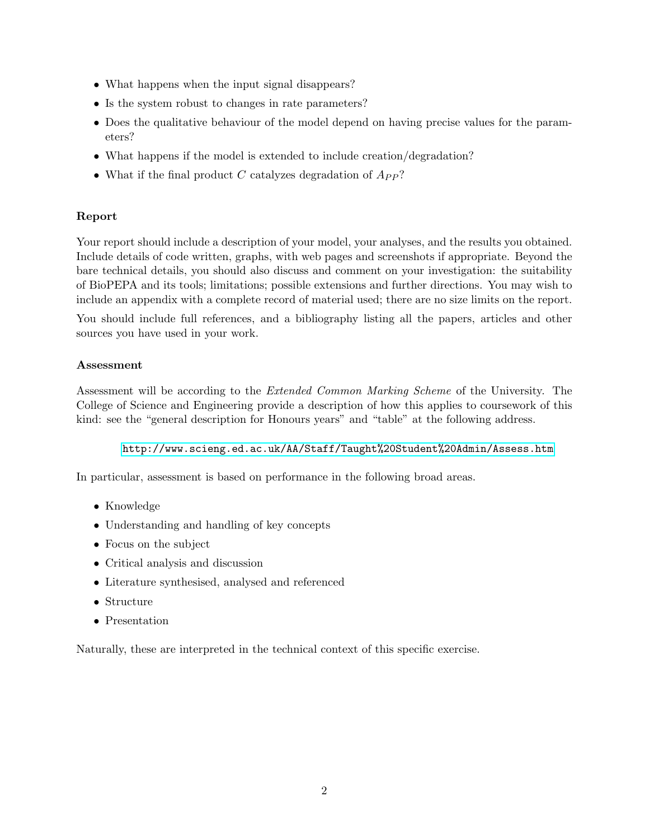- What happens when the input signal disappears?
- Is the system robust to changes in rate parameters?
- Does the qualitative behaviour of the model depend on having precise values for the parameters?
- What happens if the model is extended to include creation/degradation?
- What if the final product C catalyzes degradation of  $A_{PP}$ ?

## Report

Your report should include a description of your model, your analyses, and the results you obtained. Include details of code written, graphs, with web pages and screenshots if appropriate. Beyond the bare technical details, you should also discuss and comment on your investigation: the suitability of BioPEPA and its tools; limitations; possible extensions and further directions. You may wish to include an appendix with a complete record of material used; there are no size limits on the report.

You should include full references, and a bibliography listing all the papers, articles and other sources you have used in your work.

### Assessment

Assessment will be according to the Extended Common Marking Scheme of the University. The College of Science and Engineering provide a description of how this applies to coursework of this kind: see the "general description for Honours years" and "table" at the following address.

#### <http://www.scieng.ed.ac.uk/AA/Staff/Taught%20Student%20Admin/Assess.htm>

In particular, assessment is based on performance in the following broad areas.

- Knowledge
- Understanding and handling of key concepts
- Focus on the subject
- Critical analysis and discussion
- Literature synthesised, analysed and referenced
- Structure
- Presentation

Naturally, these are interpreted in the technical context of this specific exercise.